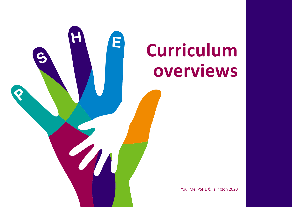

## **Curriculum overviews**

You, Me, PSHE © Islington 2020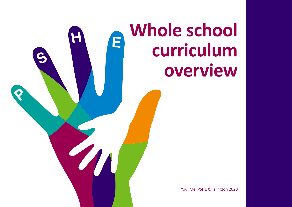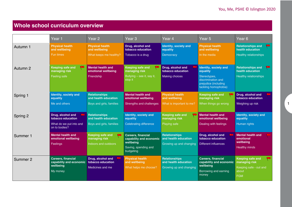## **Whole school curriculum overview**

|          | Year 1                                                                        | Year <sub>2</sub>                                                | Year <sub>3</sub>                                                                                      | Year 4                                                                  | Year <sub>5</sub>                                                                                   | Year <sub>6</sub>                                                                         |
|----------|-------------------------------------------------------------------------------|------------------------------------------------------------------|--------------------------------------------------------------------------------------------------------|-------------------------------------------------------------------------|-----------------------------------------------------------------------------------------------------|-------------------------------------------------------------------------------------------|
| Autumn 1 | <b>Physical health</b><br>and wellbeing                                       | <b>Physical health</b><br>and wellbeing                          | Drug, alcohol and<br>tobacco education                                                                 | Identity, society and<br>equality                                       | <b>Physical health</b><br>and wellbeing                                                             | <b>Relationships and</b><br>E<br>health education                                         |
|          | <b>Fun times</b>                                                              | What keeps me healthy?                                           | Tobacco is a drug                                                                                      | Democracy                                                               | In the media                                                                                        | <b>Healthy relationships</b>                                                              |
| Autumn 2 | <b>Keeping safe and</b><br>w<br>managing risk                                 | <b>Mental health and</b><br>emotional wellbeing                  | <b>Keeping safe and</b><br>managing risk                                                               | Drug, alcohol and<br>tobacco education                                  | Identity, society and<br>equality                                                                   | <b>Relationships and</b><br><b>PERSON</b><br>health education                             |
|          | Feeling safe                                                                  | Friendship                                                       | Bullying – see it, say it,<br>stop it                                                                  | <b>Making choices</b>                                                   | Stereotypes,<br>discrimination and<br>prejudice (including<br>tackling homophobia)                  | <b>Healthy relationships</b>                                                              |
| Spring 1 | <b>Identity, society and</b><br>equality                                      | <b>Relationships</b><br>and health education                     | <b>Mental health and</b><br>emotional wellbeing                                                        | <b>Physical health</b><br>and wellbeing                                 | <b>Keeping safe and</b><br>managing risk                                                            | Drug, alcohol and<br>tobacco education                                                    |
|          | Me and others                                                                 | Boys and girls, families                                         | Strengths and challenges                                                                               | What is important to me?                                                | When things go wrong                                                                                | Weighing up risk                                                                          |
| Spring 2 | Drug, alcohol and<br>tobacco education                                        | <b>Relationships</b><br>and health education                     | Identity, society and<br>equality                                                                      | <b>Keeping safe and</b><br>managing risk                                | <b>Mental health and</b><br>emotional wellbeing                                                     | Identity, society and<br>equality                                                         |
|          | What do we put into and<br>on to bodies?                                      | Boys and girls, families                                         | Celebrating difference                                                                                 | Playing safe                                                            | Dealing with feelings                                                                               | Human rights                                                                              |
| Summer 1 | <b>Mental health and</b><br>emotional wellbeing<br>Feelings                   | <b>Keeping safe and</b><br>managing risk<br>Indoors and outdoors | <b>Careers, financial</b><br>capability and economic<br>wellbeing<br>Saving, spending and<br>budgeting | <b>Relationships</b><br>and health education<br>Growing up and changing | Drug, alcohol and<br>tobacco education<br><b>Different influences</b>                               | <b>Mental health and</b><br>emotional<br>wellbeing<br><b>Healthy minds</b>                |
| Summer 2 | <b>Careers, financial</b><br>capability and economic<br>wellbeing<br>My money | Drug, alcohol and<br>tobacco education<br>Medicines and me       | <b>Physical health</b><br>and wellbeing<br>What helps me choose?                                       | <b>Relationships</b><br>and health education<br>Growing up and changing | <b>Careers, financial</b><br>capability and economic<br>wellbeing<br>Borrowing and earning<br>money | <b>Keeping safe and</b><br>managing risk<br>Keeping safe - out and<br>about<br><b>FGM</b> |

1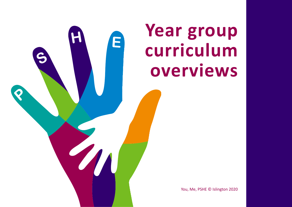

## **Year group curriculum overviews**

You, Me, PSHE © Islington 2020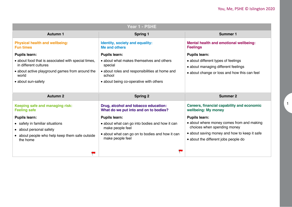| Year 1 - PSHE                                                                                                                   |                                                                                                       |                                                                                                                            |  |
|---------------------------------------------------------------------------------------------------------------------------------|-------------------------------------------------------------------------------------------------------|----------------------------------------------------------------------------------------------------------------------------|--|
| <b>Autumn 1</b>                                                                                                                 | <b>Spring 1</b>                                                                                       | Summer 1                                                                                                                   |  |
| <b>Physical health and wellbeing:</b><br><b>Fun times</b>                                                                       | Identity, society and equality:<br>Me and others                                                      | Mental health and emotional wellbeing:<br><b>Feelings</b>                                                                  |  |
| <b>Pupils learn:</b>                                                                                                            | <b>Pupils learn:</b>                                                                                  | <b>Pupils learn:</b>                                                                                                       |  |
| • about food that is associated with special times,<br>in different cultures<br>• about active playground games from around the | • about what makes themselves and others<br>special<br>• about roles and responsibilities at home and | • about different types of feelings<br>• about managing different feelings<br>• about change or loss and how this can feel |  |
| world                                                                                                                           | school                                                                                                |                                                                                                                            |  |
| • about sun-safety                                                                                                              | • about being co-operative with others                                                                |                                                                                                                            |  |
|                                                                                                                                 |                                                                                                       |                                                                                                                            |  |
|                                                                                                                                 |                                                                                                       |                                                                                                                            |  |
| <b>Autumn 2</b>                                                                                                                 | <b>Spring 2</b>                                                                                       | <b>Summer 2</b>                                                                                                            |  |
| Keeping safe and managing risk:<br><b>Feeling safe</b>                                                                          | Drug, alcohol and tobacco education:<br>What do we put into and on to bodies?                         | <b>Careers, financial capability and economic</b><br>wellbeing: My money                                                   |  |
| <b>Pupils learn:</b>                                                                                                            | <b>Pupils learn:</b>                                                                                  | <b>Pupils learn:</b>                                                                                                       |  |
| • safety in familiar situations                                                                                                 | • about what can go into bodies and how it can                                                        | • about where money comes from and making                                                                                  |  |
| • about personal safety                                                                                                         | make people feel                                                                                      | choices when spending money                                                                                                |  |
| • about people who help keep them safe outside<br>the home                                                                      | • about what can go on to bodies and how it can<br>make people feel                                   | • about saving money and how to keep it safe<br>• about the different jobs people do                                       |  |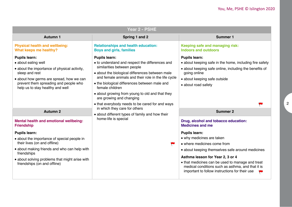| Year 2 - PSHE                                                                                                                                                                                                                          |                                                                                                                                                                                                                                                                                                                                                                     |                                                                                                                                                                                                                  |  |
|----------------------------------------------------------------------------------------------------------------------------------------------------------------------------------------------------------------------------------------|---------------------------------------------------------------------------------------------------------------------------------------------------------------------------------------------------------------------------------------------------------------------------------------------------------------------------------------------------------------------|------------------------------------------------------------------------------------------------------------------------------------------------------------------------------------------------------------------|--|
| <b>Autumn 1</b>                                                                                                                                                                                                                        | Spring 1 and 2                                                                                                                                                                                                                                                                                                                                                      | <b>Summer 1</b>                                                                                                                                                                                                  |  |
| <b>Physical health and wellbeing:</b><br>What keeps me healthy?                                                                                                                                                                        | <b>Relationships and health education:</b><br><b>Boys and girls, families</b>                                                                                                                                                                                                                                                                                       | Keeping safe and managing risk:<br><b>Indoors and outdoors</b>                                                                                                                                                   |  |
| <b>Pupils learn:</b><br>• about eating well<br>• about the importance of physical activity,<br>sleep and rest<br>• about how germs are spread, how we can<br>prevent them spreading and people who<br>help us to stay healthy and well | <b>Pupils learn:</b><br>• to understand and respect the differences and<br>similarities between people<br>• about the biological differences between male<br>and female animals and their role in the life cycle<br>• the biological differences between male and<br>female children<br>• about growing from young to old and that they<br>are growing and changing | <b>Pupils learn:</b><br>• about keeping safe in the home, including fire safety<br>• about keeping safe online, including the benefits of<br>going online<br>• about keeping safe outside<br>• about road safety |  |
|                                                                                                                                                                                                                                        | • that everybody needs to be cared for and ways<br>in which they care for others                                                                                                                                                                                                                                                                                    |                                                                                                                                                                                                                  |  |
| <b>Autumn 2</b>                                                                                                                                                                                                                        | • about different types of family and how their<br>home-life is special                                                                                                                                                                                                                                                                                             | <b>Summer 2</b>                                                                                                                                                                                                  |  |
| Mental health and emotional wellbeing:<br><b>Friendship</b>                                                                                                                                                                            |                                                                                                                                                                                                                                                                                                                                                                     | Drug, alcohol and tobacco education:<br><b>Medicines and me</b>                                                                                                                                                  |  |
| <b>Pupils learn:</b>                                                                                                                                                                                                                   |                                                                                                                                                                                                                                                                                                                                                                     | <b>Pupils learn:</b>                                                                                                                                                                                             |  |
| • about the importance of special people in<br>their lives (on and offline)                                                                                                                                                            | P                                                                                                                                                                                                                                                                                                                                                                   | • why medicines are taken<br>• where medicines come from                                                                                                                                                         |  |
| • about making friends and who can help with<br>friendships                                                                                                                                                                            |                                                                                                                                                                                                                                                                                                                                                                     | • about keeping themselves safe around medicines                                                                                                                                                                 |  |
| • about solving problems that might arise with<br>friendships (on and offline)                                                                                                                                                         |                                                                                                                                                                                                                                                                                                                                                                     | Asthma lesson for Year 2, 3 or 4<br>• that medicines can be used to manage and treat<br>medical conditions such as asthma, and that it is<br>important to follow instructions for their use                      |  |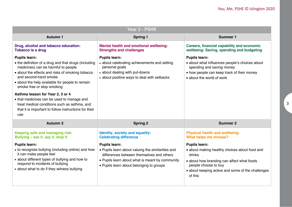| Year 3 - PSHE                                                                                                                                                                                                                                                                     |                                                                                                                                                                                                                       |                                                                                                                                                                                                                       |  |
|-----------------------------------------------------------------------------------------------------------------------------------------------------------------------------------------------------------------------------------------------------------------------------------|-----------------------------------------------------------------------------------------------------------------------------------------------------------------------------------------------------------------------|-----------------------------------------------------------------------------------------------------------------------------------------------------------------------------------------------------------------------|--|
| <b>Autumn 1</b>                                                                                                                                                                                                                                                                   | <b>Spring 1</b>                                                                                                                                                                                                       | <b>Summer 1</b>                                                                                                                                                                                                       |  |
| Drug, alcohol and tobacco education:<br><b>Tobacco is a drug</b>                                                                                                                                                                                                                  | Mental health and emotional wellbeing:<br><b>Strengths and challenges</b>                                                                                                                                             | Careers, financial capability and economic<br>wellbeing: Saving, spending and budgeting                                                                                                                               |  |
| <b>Pupils learn:</b><br>• the definition of a drug and that drugs (including<br>medicines) can be harmful to people<br>• about the effects and risks of smoking tobacco<br>and second-hand smoke<br>• about the help available for people to remain<br>smoke free or stop smoking | <b>Pupils learn:</b><br>• about celebrating achievements and setting<br>personal goals<br>• about dealing with put-downs<br>• about positive ways to deal with setbacks                                               | <b>Pupils learn:</b><br>• about what influences people's choices about<br>spending and saving money<br>• how people can keep track of their money<br>• about the world of work                                        |  |
| Asthma lesson for Year 2, 3 or 4<br>• that medicines can be used to manage and<br>treat medical conditions such as asthma, and<br>that it is important to follow instructions for their<br>use                                                                                    |                                                                                                                                                                                                                       |                                                                                                                                                                                                                       |  |
| <b>Autumn 2</b>                                                                                                                                                                                                                                                                   | <b>Spring 2</b>                                                                                                                                                                                                       | <b>Summer 2</b>                                                                                                                                                                                                       |  |
| Keeping safe and managing risk:<br>Bullying - see it, say it, stop it                                                                                                                                                                                                             | Identity, society and equality:<br><b>Celebrating difference</b>                                                                                                                                                      | <b>Physical health and wellbeing:</b><br>What helps me choose?                                                                                                                                                        |  |
| <b>Pupils learn:</b><br>• to recognise bullying (including online) and how<br>it can make people feel<br>• about different types of bullying and how to<br>respond to incidents of bullying<br>• about what to do if they witness bullying                                        | <b>Pupils learn:</b><br>• Pupils learn about valuing the similarities and<br>differences between themselves and others<br>• Pupils learn about what is meant by community<br>• Pupils learn about belonging to groups | <b>Pupils learn:</b><br>• about making healthy choices about food and<br>drinks<br>• about how branding can affect what foods<br>people choose to buy<br>• about keeping active and some of the challenges<br>of this |  |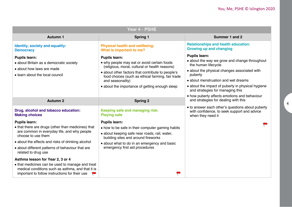| Year 4 - PSHE                                                                                                                                                                                                                                                                                                                                                           |                                                                                                                                                                                                                                                                                                                                                                            |                                                                                                                                                                                                                                                                                                                                                                         |  |  |
|-------------------------------------------------------------------------------------------------------------------------------------------------------------------------------------------------------------------------------------------------------------------------------------------------------------------------------------------------------------------------|----------------------------------------------------------------------------------------------------------------------------------------------------------------------------------------------------------------------------------------------------------------------------------------------------------------------------------------------------------------------------|-------------------------------------------------------------------------------------------------------------------------------------------------------------------------------------------------------------------------------------------------------------------------------------------------------------------------------------------------------------------------|--|--|
| <b>Autumn 1</b>                                                                                                                                                                                                                                                                                                                                                         | <b>Spring 1</b>                                                                                                                                                                                                                                                                                                                                                            | Summer 1 and 2                                                                                                                                                                                                                                                                                                                                                          |  |  |
| Identity, society and equality:<br><b>Democracy</b><br><b>Pupils learn:</b><br>• about Britain as a democratic society<br>• about how laws are made<br>• learn about the local council                                                                                                                                                                                  | <b>Physical health and wellbeing:</b><br>What is important to me?<br><b>Pupils learn:</b><br>• why people may eat or avoid certain foods<br>(religious, moral, cultural or health reasons)<br>• about other factors that contribute to people's<br>food choices (such as ethical farming, fair trade<br>and seasonality)<br>• about the importance of getting enough sleep | <b>Relationships and health education:</b><br><b>Growing up and changing</b><br><b>Pupils learn:</b><br>• about the way we grow and change throughout<br>the human lifecycle<br>• about the physical changes associated with<br>puberty<br>• about menstruation and wet dreams<br>• about the impact of puberty in physical hygiene<br>and strategies for managing this |  |  |
| <b>Autumn 2</b>                                                                                                                                                                                                                                                                                                                                                         | <b>Spring 2</b>                                                                                                                                                                                                                                                                                                                                                            | • how puberty affects emotions and behaviour<br>and strategies for dealing with this                                                                                                                                                                                                                                                                                    |  |  |
| Drug, alcohol and tobacco education:<br><b>Making choices</b>                                                                                                                                                                                                                                                                                                           | Keeping safe and managing risk:<br><b>Playing safe</b>                                                                                                                                                                                                                                                                                                                     | • to answer each other's questions about puberty<br>with confidence, to seek support and advice<br>when they need it                                                                                                                                                                                                                                                    |  |  |
| <b>Pupils learn:</b><br>• that there are drugs (other than medicines) that<br>are common in everyday life, and why people<br>choose to use them<br>• about the effects and risks of drinking alcohol<br>• about different patterns of behaviour that are<br>related to drug use<br>Asthma lesson for Year 2, 3 or 4<br>• that medicines can be used to manage and treat | <b>Pupils learn:</b><br>• how to be safe in their computer gaming habits<br>• about keeping safe near roads, rail, water,<br>building sites and around fireworks<br>• about what to do in an emergency and basic<br>emergency first aid procedures                                                                                                                         |                                                                                                                                                                                                                                                                                                                                                                         |  |  |
| medical conditions such as asthma, and that it is<br>important to follow instructions for their use                                                                                                                                                                                                                                                                     |                                                                                                                                                                                                                                                                                                                                                                            |                                                                                                                                                                                                                                                                                                                                                                         |  |  |

4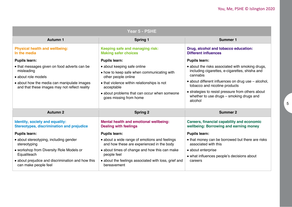| Year 5 - PSHE                                                                                |                                                                                            |                                                                                                                |  |  |
|----------------------------------------------------------------------------------------------|--------------------------------------------------------------------------------------------|----------------------------------------------------------------------------------------------------------------|--|--|
| <b>Autumn 1</b>                                                                              | <b>Spring 1</b>                                                                            | <b>Summer 1</b>                                                                                                |  |  |
| <b>Physical health and wellbeing:</b><br>In the media                                        | Keeping safe and managing risk:<br><b>Making safer choices</b>                             | Drug, alcohol and tobacco education:<br><b>Different influences</b>                                            |  |  |
| <b>Pupils learn:</b>                                                                         | <b>Pupils learn:</b>                                                                       | <b>Pupils learn:</b>                                                                                           |  |  |
| • that messages given on food adverts can be                                                 | • about keeping safe online                                                                | • about the risks associated with smoking drugs,<br>including cigarettes, e-cigarettes, shisha and<br>cannabis |  |  |
| misleading<br>• about role models                                                            | • how to keep safe when communicating with<br>other people online                          |                                                                                                                |  |  |
| • about how the media can manipulate images<br>and that these images may not reflect reality | • that violence within relationships is not<br>acceptable                                  | • about different influences on drug use – alcohol,<br>tobacco and nicotine products                           |  |  |
|                                                                                              | • about problems that can occur when someone<br>goes missing from home                     | • strategies to resist pressure from others about<br>whether to use drugs - smoking drugs and<br>alcohol       |  |  |
| <b>Autumn 2</b>                                                                              | <b>Spring 2</b>                                                                            | <b>Summer 2</b>                                                                                                |  |  |
| Identity, society and equality:<br><b>Stereotypes, discrimination and prejudice</b>          | Mental health and emotional wellbeing:<br><b>Dealing with feelings</b>                     | Careers, financial capability and economic<br>wellbeing: Borrowing and earning money                           |  |  |
| <b>Pupils learn:</b>                                                                         | <b>Pupils learn:</b>                                                                       | <b>Pupils learn:</b>                                                                                           |  |  |
| • about stereotyping, including gender<br>stereotyping                                       | • about a wide range of emotions and feelings<br>and how these are experienced in the body | • that money can be borrowed but there are risks<br>associated with this                                       |  |  |
| • workshop from Diversity Role Models or                                                     | • about times of change and how this can make                                              | • about enterprise                                                                                             |  |  |
| Equaliteach                                                                                  | people feel                                                                                | • what influences people's decisions about                                                                     |  |  |
| · about prejudice and discrimination and how this<br>can make people feel                    | • about the feelings associated with loss, grief and<br>bereavement                        | careers                                                                                                        |  |  |